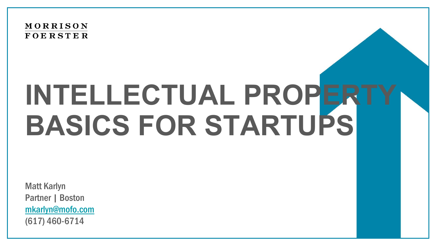**MORRISON FOERSTER** 

# **INTELLECTUAL PROPERT BASICS FOR STARTUPS**

Matt Karlyn Partner | Boston [mkarlyn@mofo.com](mailto:mkarlyn@mofo.com) (617) 460-6714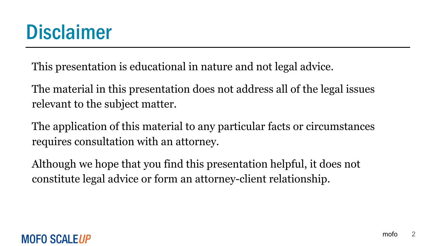# **Disclaimer**

This presentation is educational in nature and not legal advice.

The material in this presentation does not address all of the legal issues relevant to the subject matter.

The application of this material to any particular facts or circumstances requires consultation with an attorney.

Although we hope that you find this presentation helpful, it does not constitute legal advice or form an attorney-client relationship.

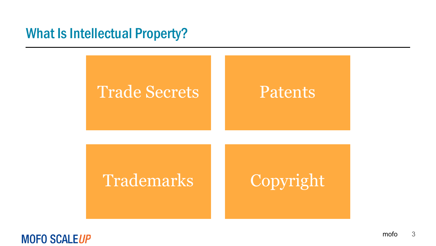

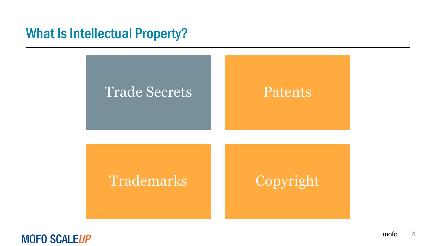

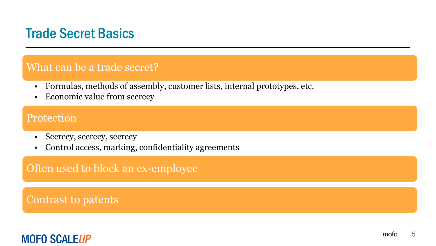# Trade Secret Basics

#### What can be a trade secret?

- Formulas, methods of assembly, customer lists, internal prototypes, etc.
- Economic value from secrecy

#### Protection

- Secrecy, secrecy, secrecy
- Control access, marking, confidentiality agreements

Often used to block an ex-employee

Contrast to patents

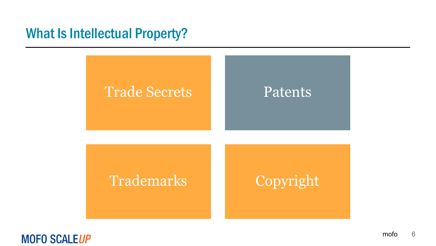

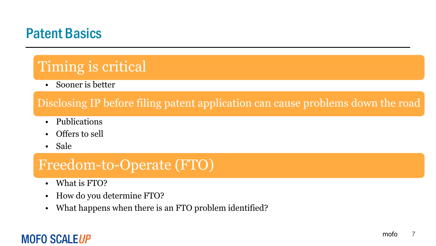# Patent Basics

# Timing is critical

• Sooner is better

#### Disclosing IP before filing patent application can cause problems down the road

- Publications
- Offers to sell
- Sale

# Freedom-to-Operate (FTO)

- What is FTO?
- How do you determine FTO?
- What happens when there is an FTO problem identified?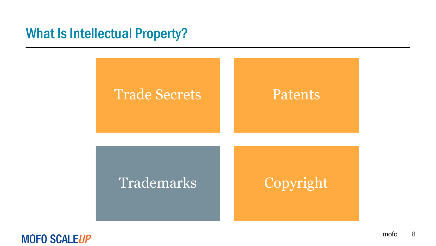

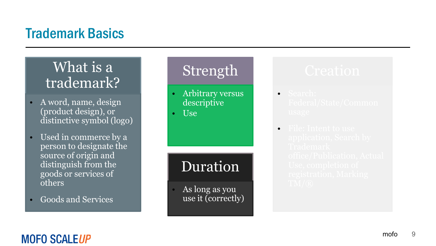# Trademark Basics

# What is a trademark?

- A word, name, design (product design), or distinctive symbol (logo)
- Used in commerce by a person to designate the source of origin and distinguish from the goods or services of others
- Goods and Services

# Strength

- Arbitrary versus descriptive
- Use

# Duration

• As long as you use it (correctly)

- Search:
- File: Intent to use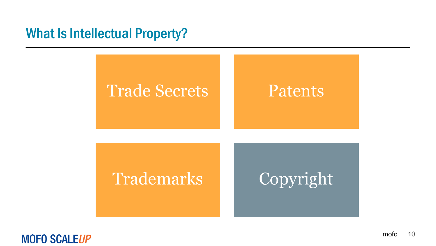

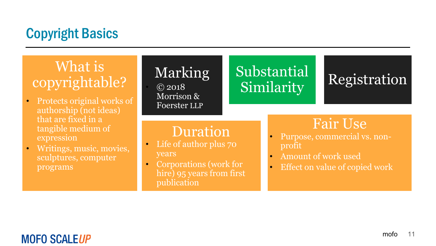# Copyright Basics

# What is copyrightable?

- Protects original works of authorship (not ideas) that are fixed in a tangible medium of expression
- Writings, music, movies, sculptures, computer programs

# Marking

 $\overline{6}$  2018 Morrison & Foerster LLP

# Substantial Registration Similarity

#### Duration

- Life of author plus 70 years
- Corporations (work for hire) 95 years from first publication

# Fair Use

- Purpose, commercial vs. nonprofit
- Amount of work used
- Effect on value of copied work

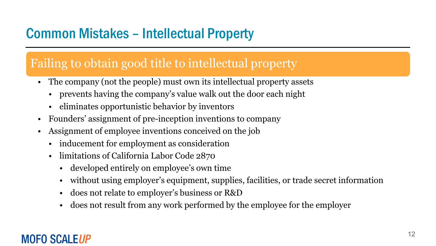# Common Mistakes – Intellectual Property

#### Failing to obtain good title to intellectual property

- The company (not the people) must own its intellectual property assets
	- prevents having the company's value walk out the door each night
	- eliminates opportunistic behavior by inventors
- Founders' assignment of pre-inception inventions to company
- Assignment of employee inventions conceived on the job
	- inducement for employment as consideration
	- limitations of California Labor Code 2870
		- developed entirely on employee's own time
		- without using employer's equipment, supplies, facilities, or trade secret information
		- does not relate to employer's business or R&D
		- does not result from any work performed by the employee for the employer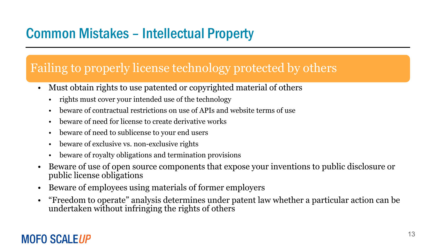# Common Mistakes – Intellectual Property

#### Failing to properly license technology protected by others

- Must obtain rights to use patented or copyrighted material of others
	- rights must cover your intended use of the technology
	- beware of contractual restrictions on use of APIs and website terms of use
	- beware of need for license to create derivative works
	- beware of need to sublicense to your end users
	- beware of exclusive vs. non-exclusive rights
	- beware of royalty obligations and termination provisions
- Beware of use of open source components that expose your inventions to public disclosure or public license obligations
- Beware of employees using materials of former employers
- "Freedom to operate" analysis determines under patent law whether a particular action can be undertaken without infringing the rights of others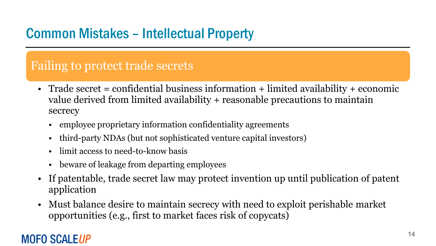# Common Mistakes – Intellectual Property

#### Failing to protect trade secrets

- Trade secret = confidential business information + limited availability + economic value derived from limited availability + reasonable precautions to maintain secrecy
	- employee proprietary information confidentiality agreements
	- third-party NDAs (but not sophisticated venture capital investors)
	- limit access to need-to-know basis
	- beware of leakage from departing employees
- If patentable, trade secret law may protect invention up until publication of patent application
- Must balance desire to maintain secrecy with need to exploit perishable market opportunities (e.g., first to market faces risk of copycats)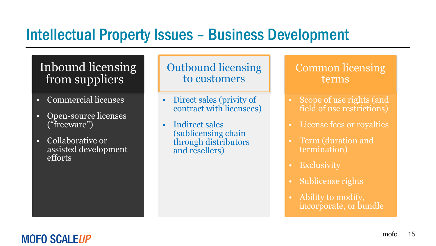# Intellectual Property Issues – Business Development

#### Inbound licensing from suppliers

- Commercial licenses
- Open-source licenses ("freeware")
- Collaborative or assisted development efforts

Outbound licensing to customers

- Direct sales (privity of contract with licensees)
- Indirect sales (sublicensing chain through distributors and resellers)

#### Common licensing terms

- Scope of use rights (and field of use restrictions)
- License fees or royalties
- Term (duration and termination)
- **Exclusivity**
- Sublicense rights
- Ability to modify, incorporate, or bundle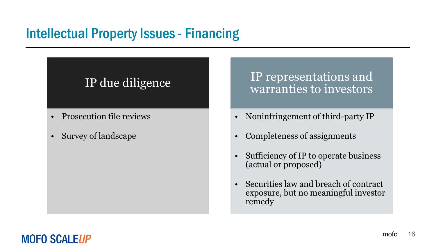# Intellectual Property Issues - Financing

#### IP due diligence

- Prosecution file reviews
- Survey of landscape

IP representations and warranties to investors

- Noninfringement of third-party IP
- Completeness of assignments
- Sufficiency of IP to operate business (actual or proposed)
- Securities law and breach of contract exposure, but no meaningful investor remedy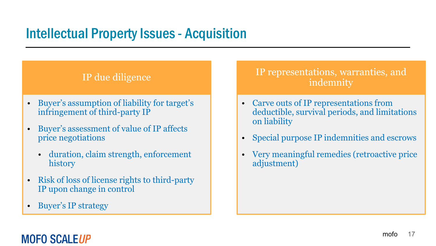# Intellectual Property Issues - Acquisition

#### IP due diligence

- Buyer's assumption of liability for target's infringement of third-party IP
- Buyer's assessment of value of IP affects price negotiations
	- duration, claim strength, enforcement history
- Risk of loss of license rights to third-party IP upon change in control
- Buyer's IP strategy

#### IP representations, warranties, and indemnity

- Carve outs of IP representations from deductible, survival periods, and limitations on liability
- Special purpose IP indemnities and escrows
- Very meaningful remedies (retroactive price adjustment)